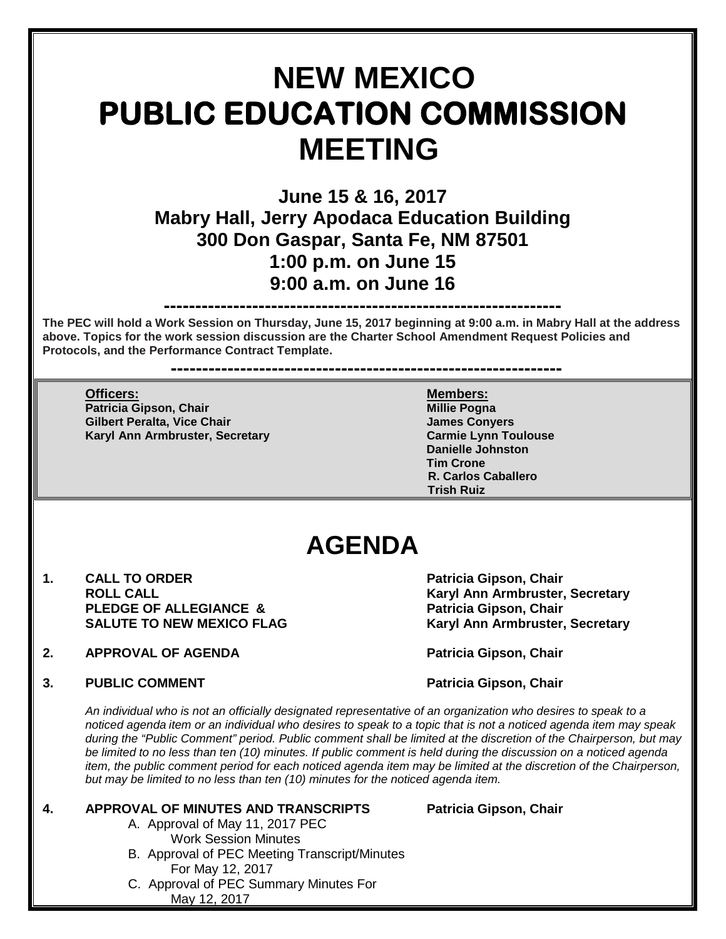# **NEW MEXICO PUBLIC EDUCATION COMMISSION MEETING**

**June 15 & 16, 2017 Mabry Hall, Jerry Apodaca Education Building 300 Don Gaspar, Santa Fe, NM 87501 1:00 p.m. on June 15 9:00 a.m. on June 16**

**---------------------------------------------------------------**

**The PEC will hold a Work Session on Thursday, June 15, 2017 beginning at 9:00 a.m. in Mabry Hall at the address above. Topics for the work session discussion are the Charter School Amendment Request Policies and Protocols, and the Performance Contract Template.** 

**--------------------------------------------------------------**

**Officers: Members: Patricia Gipson, Chair Gilbert Peralta, Vice Chair James Conyers** James Conyers **Karyl Ann Armbruster, Secretary <b>Carmie Lynn Toulouse** Carmie Lynn Toulouse

**Danielle Johnston Tim Crone R. Carlos Caballero Trish Ruiz**

## **AGENDA**

**1. CALL TO ORDER Patricia Gipson, Chair PLEDGE OF ALLEGIANCE & SALUTE TO NEW MEXICO FLAG** 

**Karyl Ann Armbruster, Secretary <br>Patricia Gipson, Chair Karyl Ann Armbruster, Secretary** 

**2. APPROVAL OF AGENDA Patricia Gipson, Chair**

#### **3. PUBLIC COMMENT Patricia Gipson, Chair**

*An individual who is not an officially designated representative of an organization who desires to speak to a noticed agenda item or an individual who desires to speak to a topic that is not a noticed agenda item may speak during the "Public Comment" period. Public comment shall be limited at the discretion of the Chairperson, but may*  be limited to no less than ten (10) minutes. If public comment is held during the discussion on a noticed agenda *item, the public comment period for each noticed agenda item may be limited at the discretion of the Chairperson, but may be limited to no less than ten (10) minutes for the noticed agenda item.*

#### **4. APPROVAL OF MINUTES AND TRANSCRIPTS Patricia Gipson, Chair**

- A. Approval of May 11, 2017 PEC Work Session Minutes
- B. Approval of PEC Meeting Transcript/Minutes For May 12, 2017
- C. Approval of PEC Summary Minutes For May 12, 2017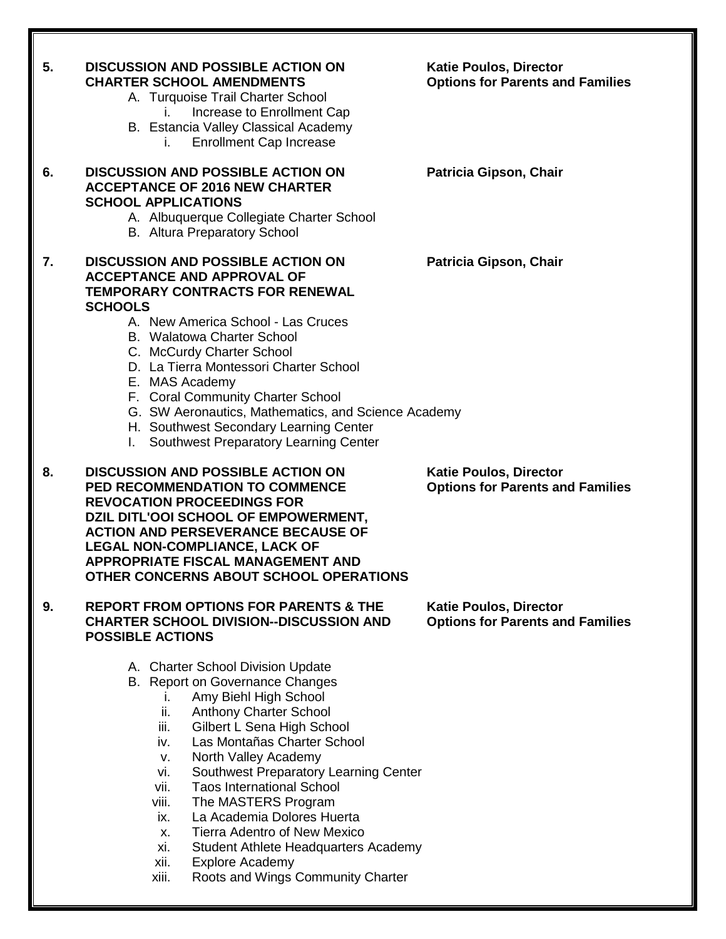| 5. | <b>DISCUSSION AND POSSIBLE ACTION ON</b><br><b>CHARTER SCHOOL AMENDMENTS</b><br>A. Turquoise Trail Charter School<br>Increase to Enrollment Cap<br>i.<br>B. Estancia Valley Classical Academy<br><b>Enrollment Cap Increase</b>                                                                                                                                                                                                                                                              | <b>Katie Poulos, Director</b><br><b>Options for Parents and Families</b> |
|----|----------------------------------------------------------------------------------------------------------------------------------------------------------------------------------------------------------------------------------------------------------------------------------------------------------------------------------------------------------------------------------------------------------------------------------------------------------------------------------------------|--------------------------------------------------------------------------|
| 6. | <b>DISCUSSION AND POSSIBLE ACTION ON</b><br><b>ACCEPTANCE OF 2016 NEW CHARTER</b><br><b>SCHOOL APPLICATIONS</b><br>A. Albuquerque Collegiate Charter School<br><b>B.</b> Altura Preparatory School                                                                                                                                                                                                                                                                                           | Patricia Gipson, Chair                                                   |
| 7. | <b>DISCUSSION AND POSSIBLE ACTION ON</b><br><b>ACCEPTANCE AND APPROVAL OF</b><br><b>TEMPORARY CONTRACTS FOR RENEWAL</b><br><b>SCHOOLS</b><br>A. New America School - Las Cruces<br><b>B.</b> Walatowa Charter School<br>C. McCurdy Charter School<br>D. La Tierra Montessori Charter School<br>E. MAS Academy<br>F. Coral Community Charter School<br>G. SW Aeronautics, Mathematics, and Science Academy<br>H. Southwest Secondary Learning Center<br>Southwest Preparatory Learning Center | Patricia Gipson, Chair                                                   |
| 8. | <b>DISCUSSION AND POSSIBLE ACTION ON</b><br>PED RECOMMENDATION TO COMMENCE                                                                                                                                                                                                                                                                                                                                                                                                                   | <b>Katie Poulos, Director</b><br><b>Options for Parents and Families</b> |
|    | <b>REVOCATION PROCEEDINGS FOR</b><br>DZIL DITL'OOI SCHOOL OF EMPOWERMENT,<br><b>ACTION AND PERSEVERANCE BECAUSE OF</b><br><b>LEGAL NON-COMPLIANCE, LACK OF</b><br><b>APPROPRIATE FISCAL MANAGEMENT AND</b><br>OTHER CONCERNS ABOUT SCHOOL OPERATIONS                                                                                                                                                                                                                                         |                                                                          |
| 9. | <b>REPORT FROM OPTIONS FOR PARENTS &amp; THE</b><br><b>CHARTER SCHOOL DIVISION--DISCUSSION AND</b><br><b>POSSIBLE ACTIONS</b>                                                                                                                                                                                                                                                                                                                                                                | <b>Katie Poulos, Director</b><br><b>Options for Parents and Families</b> |